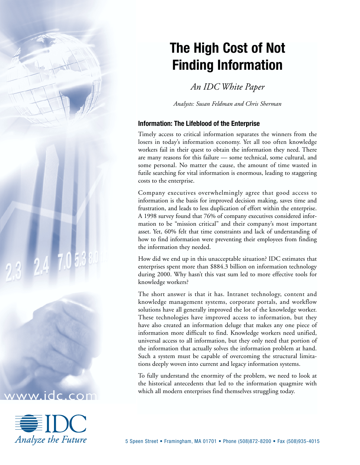# **The High Cost of Not Finding Information**

*An IDC White Paper*

*Analysts: Susan Feldman and Chris Sherman*

## **Information: The Lifeblood of the Enterprise**

Timely access to critical information separates the winners from the losers in today's information economy. Yet all too often knowledge workers fail in their quest to obtain the information they need. There are many reasons for this failure — some technical, some cultural, and some personal. No matter the cause, the amount of time wasted in futile searching for vital information is enormous, leading to staggering costs to the enterprise.

Company executives overwhelmingly agree that good access to information is the basis for improved decision making, saves time and frustration, and leads to less duplication of effort within the enterprise. A 1998 survey found that 76% of company executives considered information to be "mission critical" and their company's most important asset. Yet, 60% felt that time constraints and lack of understanding of how to find information were preventing their employees from finding the information they needed.

How did we end up in this unacceptable situation? IDC estimates that enterprises spent more than \$884.3 billion on information technology during 2000. Why hasn't this vast sum led to more effective tools for knowledge workers?

The short answer is that it has. Intranet technology, content and knowledge management systems, corporate portals, and workflow solutions have all generally improved the lot of the knowledge worker. These technologies have improved access to information, but they have also created an information deluge that makes any one piece of information more difficult to find. Knowledge workers need unified, universal access to all information, but they only need that portion of the information that actually solves the information problem at hand. Such a system must be capable of overcoming the structural limitations deeply woven into current and legacy information systems.

To fully understand the enormity of the problem, we need to look at the historical antecedents that led to the information quagmire with which all modern enterprises find themselves struggling today.



ww.idc.com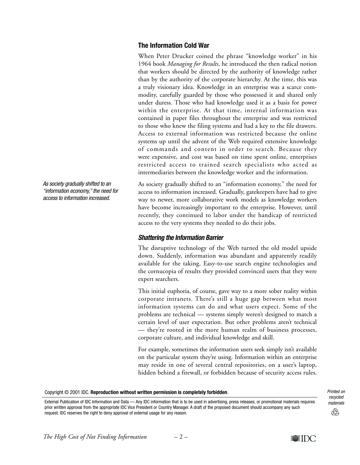# **The Information Cold War**

When Peter Drucker coined the phrase "knowledge worker" in his 1964 book *Managing for Results*, he introduced the then radical notion that workers should be directed by the authority of knowledge rather than by the authority of the corporate hierarchy. At the time, this was a truly visionary idea. Knowledge in an enterprise was a scarce commodity, carefully guarded by those who possessed it and shared only under duress. Those who had knowledge used it as a basis for power within the enterprise. At that time, internal information was contained in paper files throughout the enterprise and was restricted to those who knew the filing systems and had a key to the file drawers. Access to external information was restricted because the online systems up until the advent of the Web required extensive knowledge of commands and content in order to search. Because they were expensive, and cost was based on time spent online, enterprises restricted access to trained search specialists who acted as intermediaries between the knowledge worker and the information.

As society gradually shifted to an "information economy," the need for access to information increased. Gradually, gatekeepers have had to give way to newer, more collaborative work models as knowledge workers have become increasingly important to the enterprise. However, until recently, they continued to labor under the handicap of restricted access to the very systems they needed to do their jobs.

## **Shattering the Information Barrier**

The disruptive technology of the Web turned the old model upside down. Suddenly, information was abundant and apparently readily available for the taking. Easy-to-use search engine technologies and the cornucopia of results they provided convinced users that they were expert searchers.

This initial euphoria, of course, gave way to a more sober reality within corporate intranets. There's still a huge gap between what most information systems can do and what users expect. Some of the problems are technical — systems simply weren't designed to match a certain level of user expectation. But other problems aren't technical — they're rooted in the more human realm of business processes, corporate culture, and individual knowledge and skill.

For example, sometimes the information users seek simply isn't available on the particular system they're using. Information within an enterprise may reside in one of several central repositories, on a user's laptop, hidden behind a firewall, or forbidden because of security access rules.

Copyright © 2001 IDC. **Reproduction without written permission is completely forbidden**.

External Publication of IDC Information and Data — Any IDC information that is to be used in advertising, press releases, or promotional materials requires prior written approval from the appropriate IDC Vice President or Country Manager. A draft of the proposed document should accompany any such request. IDC reserves the right to deny approval of external usage for any reason.

Printed on recycled materials

QÀ

As society gradually shifted to an "information economy," the need for access to information increased.

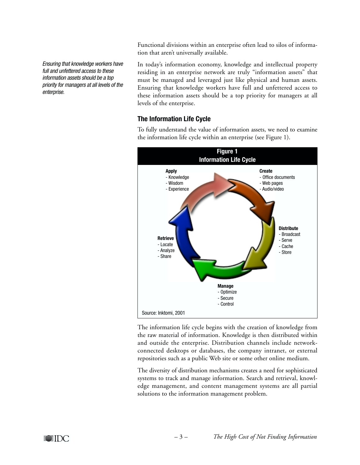Functional divisions within an enterprise often lead to silos of information that aren't universally available.

Ensuring that knowledge workers have full and unfettered access to these information assets should be a top priority for managers at all levels of the enterprise.

In today's information economy, knowledge and intellectual property residing in an enterprise network are truly "information assets" that must be managed and leveraged just like physical and human assets. Ensuring that knowledge workers have full and unfettered access to these information assets should be a top priority for managers at all levels of the enterprise.

# **The Information Life Cycle**

To fully understand the value of information assets, we need to examine the information life cycle within an enterprise (see Figure 1).



The information life cycle begins with the creation of knowledge from the raw material of information. Knowledge is then distributed within and outside the enterprise. Distribution channels include networkconnected desktops or databases, the company intranet, or external repositories such as a public Web site or some other online medium.

The diversity of distribution mechanisms creates a need for sophisticated systems to track and manage information. Search and retrieval, knowledge management, and content management systems are all partial solutions to the information management problem.

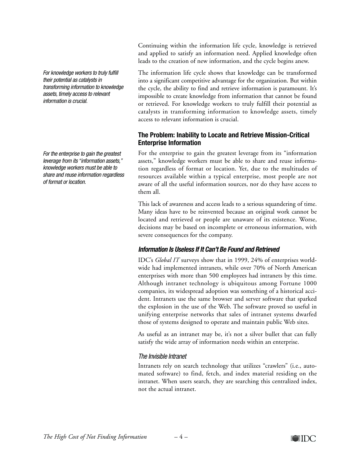For knowledge workers to truly fulfill their potential as catalysts in transforming information to knowledge assets, timely access to relevant information is crucial.

For the enterprise to gain the greatest leverage from its "information assets," knowledge workers must be able to share and reuse information regardless of format or location.

Continuing within the information life cycle, knowledge is retrieved and applied to satisfy an information need. Applied knowledge often leads to the creation of new information, and the cycle begins anew.

The information life cycle shows that knowledge can be transformed into a significant competitive advantage for the organization. But within the cycle, the ability to find and retrieve information is paramount. It's impossible to create knowledge from information that cannot be found or retrieved. For knowledge workers to truly fulfill their potential as catalysts in transforming information to knowledge assets, timely access to relevant information is crucial.

# **The Problem: Inability to Locate and Retrieve Mission-Critical Enterprise Information**

For the enterprise to gain the greatest leverage from its "information assets," knowledge workers must be able to share and reuse information regardless of format or location. Yet, due to the multitudes of resources available within a typical enterprise, most people are not aware of all the useful information sources, nor do they have access to them all.

This lack of awareness and access leads to a serious squandering of time. Many ideas have to be reinvented because an original work cannot be located and retrieved or people are unaware of its existence. Worse, decisions may be based on incomplete or erroneous information, with severe consequences for the company.

# **Information Is Useless If It Can't Be Found and Retrieved**

IDC's *Global IT* surveys show that in 1999, 24% of enterprises worldwide had implemented intranets, while over 70% of North American enterprises with more than 500 employees had intranets by this time. Although intranet technology is ubiquitous among Fortune 1000 companies, its widespread adoption was something of a historical accident. Intranets use the same browser and server software that sparked the explosion in the use of the Web. The software proved so useful in unifying enterprise networks that sales of intranet systems dwarfed those of systems designed to operate and maintain public Web sites.

As useful as an intranet may be, it's not a silver bullet that can fully satisfy the wide array of information needs within an enterprise.

# The Invisible Intranet

Intranets rely on search technology that utilizes "crawlers" (i.e., automated software) to find, fetch, and index material residing on the intranet. When users search, they are searching this centralized index, not the actual intranet.

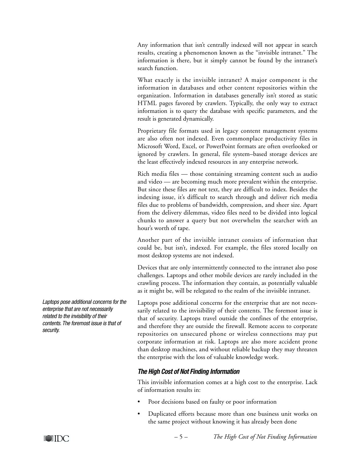Any information that isn't centrally indexed will not appear in search results, creating a phenomenon known as the "invisible intranet." The information is there, but it simply cannot be found by the intranet's search function.

What exactly is the invisible intranet? A major component is the information in databases and other content repositories within the organization. Information in databases generally isn't stored as static HTML pages favored by crawlers. Typically, the only way to extract information is to query the database with specific parameters, and the result is generated dynamically.

Proprietary file formats used in legacy content management systems are also often not indexed. Even commonplace productivity files in Microsoft Word, Excel, or PowerPoint formats are often overlooked or ignored by crawlers. In general, file system–based storage devices are the least effectively indexed resources in any enterprise network.

Rich media files — those containing streaming content such as audio and video — are becoming much more prevalent within the enterprise. But since these files are not text, they are difficult to index. Besides the indexing issue, it's difficult to search through and deliver rich media files due to problems of bandwidth, compression, and sheer size. Apart from the delivery dilemmas, video files need to be divided into logical chunks to answer a query but not overwhelm the searcher with an hour's worth of tape.

Another part of the invisible intranet consists of information that could be, but isn't, indexed. For example, the files stored locally on most desktop systems are not indexed.

Devices that are only intermittently connected to the intranet also pose challenges. Laptops and other mobile devices are rarely included in the crawling process. The information they contain, as potentially valuable as it might be, will be relegated to the realm of the invisible intranet.

Laptops pose additional concerns for the enterprise that are not necessarily related to the invisibility of their contents. The foremost issue is that of security. Laptops travel outside the confines of the enterprise, and therefore they are outside the firewall. Remote access to corporate repositories on unsecured phone or wireless connections may put corporate information at risk. Laptops are also more accident prone than desktop machines, and without reliable backup they may threaten the enterprise with the loss of valuable knowledge work.

# **The High Cost of Not Finding Information**

This invisible information comes at a high cost to the enterprise. Lack of information results in:

- Poor decisions based on faulty or poor information
- Duplicated efforts because more than one business unit works on the same project without knowing it has already been done

Laptops pose additional concerns for the enterprise that are not necessarily related to the invisibility of their contents. The foremost issue is that of security.

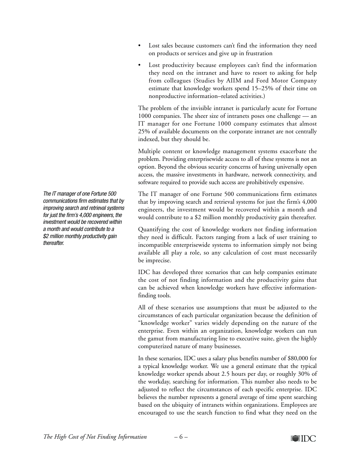- Lost sales because customers can't find the information they need on products or services and give up in frustration
- Lost productivity because employees can't find the information they need on the intranet and have to resort to asking for help from colleagues (Studies by AIIM and Ford Motor Company estimate that knowledge workers spend 15–25% of their time on nonproductive information–related activities.)

The problem of the invisible intranet is particularly acute for Fortune 1000 companies. The sheer size of intranets poses one challenge — an IT manager for one Fortune 1000 company estimates that almost 25% of available documents on the corporate intranet are not centrally indexed, but they should be.

Multiple content or knowledge management systems exacerbate the problem. Providing enterprisewide access to all of these systems is not an option. Beyond the obvious security concerns of having universally open access, the massive investments in hardware, network connectivity, and software required to provide such access are prohibitively expensive.

The IT manager of one Fortune 500 communications firm estimates that by improving search and retrieval systems for just the firm's 4,000 engineers, the investment would be recovered within a month and would contribute to a \$2 million monthly productivity gain thereafter.

Quantifying the cost of knowledge workers not finding information they need is difficult. Factors ranging from a lack of user training to incompatible enterprisewide systems to information simply not being available all play a role, so any calculation of cost must necessarily be imprecise.

IDC has developed three scenarios that can help companies estimate the cost of not finding information and the productivity gains that can be achieved when knowledge workers have effective informationfinding tools.

All of these scenarios use assumptions that must be adjusted to the circumstances of each particular organization because the definition of "knowledge worker" varies widely depending on the nature of the enterprise. Even within an organization, knowledge workers can run the gamut from manufacturing line to executive suite, given the highly computerized nature of many businesses.

In these scenarios, IDC uses a salary plus benefits number of \$80,000 for a typical knowledge worker. We use a general estimate that the typical knowledge worker spends about 2.5 hours per day, or roughly 30% of the workday, searching for information. This number also needs to be adjusted to reflect the circumstances of each specific enterprise. IDC believes the number represents a general average of time spent searching based on the ubiquity of intranets within organizations. Employees are encouraged to use the search function to find what they need on the

The IT manager of one Fortune 500 communications firm estimates that by improving search and retrieval systems for just the firm's 4,000 engineers, the investment would be recovered within a month and would contribute to a \$2 million monthly productivity gain thereafter.



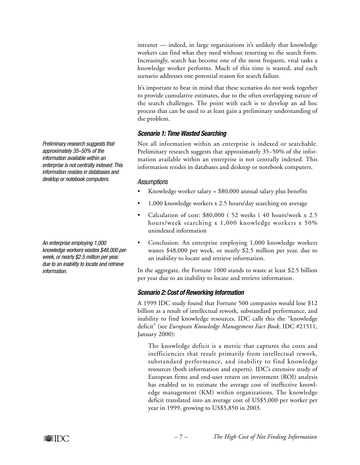intranet — indeed, in large organizations it's unlikely that knowledge workers can find what they need without resorting to the search form. Increasingly, search has become one of the most frequent, vital tasks a knowledge worker performs. Much of this time is wasted, and each scenario addresses one potential reason for search failure.

It's important to bear in mind that these scenarios do not work together to provide cumulative estimates, due to the often overlapping nature of the search challenges. The point with each is to develop an ad hoc process that can be used to at least gain a preliminary understanding of the problem.

# **Scenario 1: Time Wasted Searching**

Not all information within an enterprise is indexed or searchable. Preliminary research suggests that approximately 35–50% of the information available within an enterprise is not centrally indexed. This information resides in databases and desktop or notebook computers.

### **Assumptions**

- Knowledge worker salary =  $$80,000$  annual salary plus benefits
- 1,000 knowledge workers x 2.5 hours/day searching on average
- Calculation of cost: \$80,000 ( 52 weeks ( 40 hours/week x 2.5 hours/week searching x 1,000 knowledge workers x 50% unindexed information
- Conclusion: An enterprise employing 1,000 knowledge workers wastes \$48,000 per week, or nearly \$2.5 million per year, due to an inability to locate and retrieve information.

In the aggregate, the Fortune 1000 stands to waste at least \$2.5 billion per year due to an inability to locate and retrieve information.

## **Scenario 2: Cost of Reworking Information**

A 1999 IDC study found that Fortune 500 companies would lose \$12 billion as a result of intellectual rework, substandard performance, and inability to find knowledge resources. IDC calls this the "knowledge deficit" (see *European Knowledge Management Fact Book*, IDC #21511, January 2000):

The knowledge deficit is a metric that captures the costs and inefficiencies that result primarily from intellectual rework, substandard performance, and inability to find knowledge resources (both information and experts). IDC's extensive study of European firms and end-user return on investment (ROI) analysis has enabled us to estimate the average cost of ineffective knowledge management (KM) within organizations. The knowledge deficit translated into an average cost of US\$5,000 per worker per year in 1999, growing to US\$5,850 in 2003.

Preliminary research suggests that approximately 35–50% of the information available within an enterprise is not centrally indexed. This information resides in databases and desktop or notebook computers.

An enterprise employing 1,000 knowledge workers wastes \$48,000 per week, or nearly \$2.5 million per year, due to an inability to locate and retrieve information.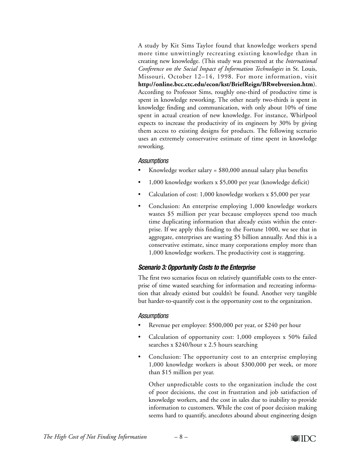A study by Kit Sims Taylor found that knowledge workers spend more time unwittingly recreating existing knowledge than in creating new knowledge. (This study was presented at the *International Conference on the Social Impact of Information Technologies* in St. Louis, Missouri, October 12–14, 1998. For more information, visit **http://online.bcc.ctc.edu/econ/kst/BriefReign/BRwebversion.htm**). According to Professor Sims, roughly one-third of productive time is spent in knowledge reworking. The other nearly two-thirds is spent in knowledge finding and communication, with only about 10% of time spent in actual creation of new knowledge. For instance, Whirlpool expects to increase the productivity of its engineers by 30% by giving them access to existing designs for products. The following scenario uses an extremely conservative estimate of time spent in knowledge reworking.

### **Assumptions**

- Knowledge worker salary =  $$80,000$  annual salary plus benefits
- 1,000 knowledge workers x \$5,000 per year (knowledge deficit)
- Calculation of cost: 1,000 knowledge workers x \$5,000 per year
- Conclusion: An enterprise employing 1,000 knowledge workers wastes \$5 million per year because employees spend too much time duplicating information that already exists within the enterprise. If we apply this finding to the Fortune 1000, we see that in aggregate, enterprises are wasting \$5 billion annually. And this is a conservative estimate, since many corporations employ more than 1,000 knowledge workers. The productivity cost is staggering.

## **Scenario 3: Opportunity Costs to the Enterprise**

The first two scenarios focus on relatively quantifiable costs to the enterprise of time wasted searching for information and recreating information that already existed but couldn't be found. Another very tangible but harder-to-quantify cost is the opportunity cost to the organization.

#### **Assumptions**

- Revenue per employee: \$500,000 per year, or \$240 per hour
- Calculation of opportunity cost: 1,000 employees x 50% failed searches x \$240/hour x 2.5 hours searching
- Conclusion: The opportunity cost to an enterprise employing 1,000 knowledge workers is about \$300,000 per week, or more than \$15 million per year.

Other unpredictable costs to the organization include the cost of poor decisions, the cost in frustration and job satisfaction of knowledge workers, and the cost in sales due to inability to provide information to customers. While the cost of poor decision making seems hard to quantify, anecdotes abound about engineering design

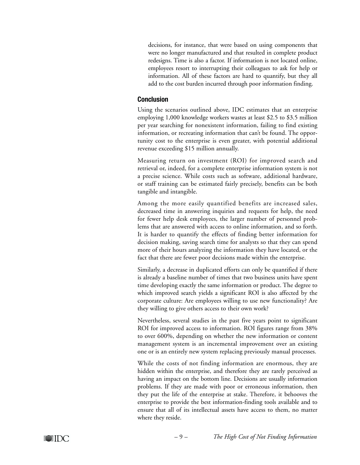decisions, for instance, that were based on using components that were no longer manufactured and that resulted in complete product redesigns. Time is also a factor. If information is not located online, employees resort to interrupting their colleagues to ask for help or information. All of these factors are hard to quantify, but they all add to the cost burden incurred through poor information finding.

#### **Conclusion**

Using the scenarios outlined above, IDC estimates that an enterprise employing 1,000 knowledge workers wastes at least \$2.5 to \$3.5 million per year searching for nonexistent information, failing to find existing information, or recreating information that can't be found. The opportunity cost to the enterprise is even greater, with potential additional revenue exceeding \$15 million annually.

Measuring return on investment (ROI) for improved search and retrieval or, indeed, for a complete enterprise information system is not a precise science. While costs such as software, additional hardware, or staff training can be estimated fairly precisely, benefits can be both tangible and intangible.

Among the more easily quantified benefits are increased sales, decreased time in answering inquiries and requests for help, the need for fewer help desk employees, the larger number of personnel problems that are answered with access to online information, and so forth. It is harder to quantify the effects of finding better information for decision making, saving search time for analysts so that they can spend more of their hours analyzing the information they have located, or the fact that there are fewer poor decisions made within the enterprise.

Similarly, a decrease in duplicated efforts can only be quantified if there is already a baseline number of times that two business units have spent time developing exactly the same information or product. The degree to which improved search yields a significant ROI is also affected by the corporate culture: Are employees willing to use new functionality? Are they willing to give others access to their own work?

Nevertheless, several studies in the past five years point to significant ROI for improved access to information. ROI figures range from 38% to over 600%, depending on whether the new information or content management system is an incremental improvement over an existing one or is an entirely new system replacing previously manual processes.

While the costs of not finding information are enormous, they are hidden within the enterprise, and therefore they are rarely perceived as having an impact on the bottom line. Decisions are usually information problems. If they are made with poor or erroneous information, then they put the life of the enterprise at stake. Therefore, it behooves the enterprise to provide the best information-finding tools available and to ensure that all of its intellectual assets have access to them, no matter where they reside.